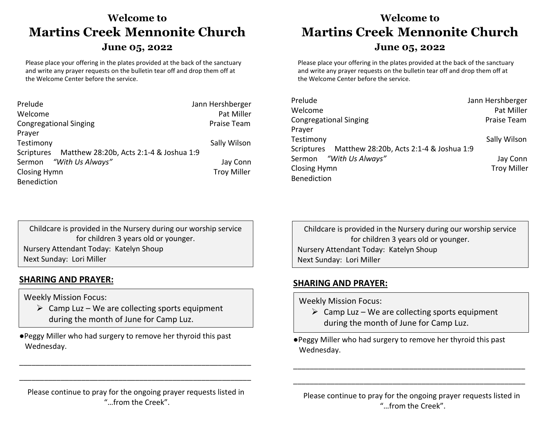## **Welcome to Martins Creek****Mennonite Church**

## **June 05, 2022**

Please place your offering in the plates provided at the back of the sanctuary and write any prayer requests on the bulletin tear off and drop them off at the Welcome Center before the service.

| Prelude                                            | Jann Hershberger   |
|----------------------------------------------------|--------------------|
| Welcome                                            | Pat Miller         |
| <b>Congregational Singing</b>                      | <b>Praise Team</b> |
| Prayer                                             |                    |
| Testimony                                          | Sally Wilson       |
| Scriptures Matthew 28:20b, Acts 2:1-4 & Joshua 1:9 |                    |
| Sermon "With Us Always"                            | Jay Conn           |
| Closing Hymn                                       | <b>Troy Miller</b> |
| Benediction                                        |                    |

## **Welcome to Martins Creek****Mennonite Church**

### **June 05, 2022**

Please place your offering in the plates provided at the back of the sanctuary and write any prayer requests on the bulletin tear off and drop them off at the Welcome Center before the service.

| Prelude                                            | Jann Hershberger   |
|----------------------------------------------------|--------------------|
| Welcome                                            | Pat Miller         |
| <b>Congregational Singing</b>                      | Praise Team        |
| Prayer                                             |                    |
| Testimony                                          | Sally Wilson       |
| Scriptures Matthew 28:20b, Acts 2:1-4 & Joshua 1:9 |                    |
| Sermon "With Us Always"                            | Jay Conn           |
| <b>Closing Hymn</b>                                | <b>Troy Miller</b> |
| <b>Benediction</b>                                 |                    |

Childcare is provided in the Nursery during our worship service for children 3 years old or younger. Nursery Attendant Today: Katelyn Shoup Next Sunday: Lori Miller

## **SHARING AND PRAYER:**

Weekly Mission Focus:

- $\triangleright$  Camp Luz We are collecting sports equipment during the month of June for Camp Luz.
- ●Peggy Miller who had surgery to remove her thyroid this past Wednesday.

Childcare is provided in the Nursery during our worship service for children 3 years old or younger. Nursery Attendant Today: Katelyn Shoup Next Sunday: Lori Miller

## **SHARING AND PRAYER:**

Weekly Mission Focus:

- $\triangleright$  Camp Luz We are collecting sports equipment during the month of June for Camp Luz.
- ●Peggy Miller who had surgery to remove her thyroid this past Wednesday.

Please continue to pray for the ongoing prayer requests listed in "…from the Creek".

\_\_\_\_\_\_\_\_\_\_\_\_\_\_\_\_\_\_\_\_\_\_\_\_\_\_\_\_\_\_\_\_\_\_\_\_\_\_\_\_\_\_\_\_\_\_\_\_\_\_\_\_\_\_\_\_

\_\_\_\_\_\_\_\_\_\_\_\_\_\_\_\_\_\_\_\_\_\_\_\_\_\_\_\_\_\_\_\_\_\_\_\_\_\_\_\_\_\_\_\_\_\_\_\_\_\_\_\_\_\_\_\_

Please continue to pray for the ongoing prayer requests listed in "…from the Creek".

\_\_\_\_\_\_\_\_\_\_\_\_\_\_\_\_\_\_\_\_\_\_\_\_\_\_\_\_\_\_\_\_\_\_\_\_\_\_\_\_\_\_\_\_\_\_\_\_\_\_\_\_\_\_\_\_

\_\_\_\_\_\_\_\_\_\_\_\_\_\_\_\_\_\_\_\_\_\_\_\_\_\_\_\_\_\_\_\_\_\_\_\_\_\_\_\_\_\_\_\_\_\_\_\_\_\_\_\_\_\_\_\_